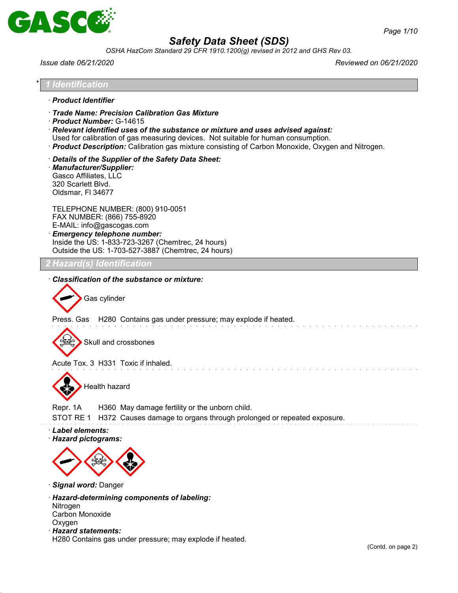

*OSHA HazCom Standard 29 CFR 1910.1200(g) revised in 2012 and GHS Rev 03.*

*Issue date 06/21/2020 Reviewed on 06/21/2020*

# \* *1 Identification* · *Product Identifier* · *Trade Name: Precision Calibration Gas Mixture* · *Product Number:* G-14615 · *Relevant identified uses of the substance or mixture and uses advised against:* Used for calibration of gas measuring devices. Not suitable for human consumption. · *Product Description:* Calibration gas mixture consisting of Carbon Monoxide, Oxygen and Nitrogen. · *Details of the Supplier of the Safety Data Sheet:* · *Manufacturer/Supplier:* Gasco Affiliates, LLC 320 Scarlett Blvd. Oldsmar, Fl 34677 TELEPHONE NUMBER: (800) 910-0051 FAX NUMBER: (866) 755-8920 E-MAIL: info@gascogas.com · *Emergency telephone number:* Inside the US: 1-833-723-3267 (Chemtrec, 24 hours) Outside the US: 1-703-527-3887 (Chemtrec, 24 hours) *2 Hazard(s) Identification* · *Classification of the substance or mixture:* Gas cylinder Press. Gas H280 Contains gas under pressure; may explode if heated. Skull and crossbones Acute Tox. 3 H331 Toxic if inhaled. Health hazard Repr. 1A H360 May damage fertility or the unborn child. STOT RE 1 H372 Causes damage to organs through prolonged or repeated exposure. · *Label elements:* · *Hazard pictograms:*

· *Signal word:* Danger

· *Hazard-determining components of labeling:* Nitrogen Carbon Monoxide Oxygen

· *Hazard statements:*

H280 Contains gas under pressure; may explode if heated.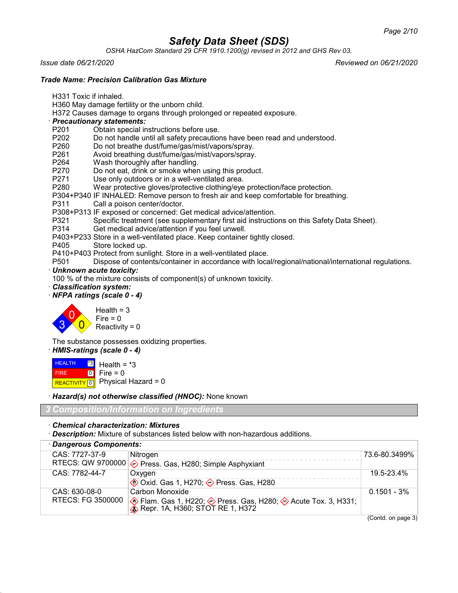*OSHA HazCom Standard 29 CFR 1910.1200(g) revised in 2012 and GHS Rev 03.*

*Issue date 06/21/2020 Reviewed on 06/21/2020*

*Trade Name: Precision Calibration Gas Mixture*

- H331 Toxic if inhaled.
- H360 May damage fertility or the unborn child.
- H372 Causes damage to organs through prolonged or repeated exposure.
- · *Precautionary statements:*
- P201 Obtain special instructions before use.<br>P202 Do not handle until all safety precaution
- Do not handle until all safety precautions have been read and understood.
- P260 Do not breathe dust/fume/gas/mist/vapors/spray.
- P261 Avoid breathing dust/fume/gas/mist/vapors/spray.<br>P264 Wash thoroughly after handling.
- P264 Wash thoroughly after handling.<br>P270 Do not eat. drink or smoke wher
- Do not eat, drink or smoke when using this product.
- P271 Use only outdoors or in a well-ventilated area.
- P280 Wear protective gloves/protective clothing/eye protection/face protection.
- P304+P340 IF INHALED: Remove person to fresh air and keep comfortable for breathing.
- P311 Call a poison center/doctor.
- P308+P313 IF exposed or concerned: Get medical advice/attention.
- P321 Specific treatment (see supplementary first aid instructions on this Safety Data Sheet).
- Get medical advice/attention if you feel unwell.
- P403+P233 Store in a well-ventilated place. Keep container tightly closed.
- Store locked up.
- P410+P403 Protect from sunlight. Store in a well-ventilated place.
- Dispose of contents/container in accordance with local/regional/national/international regulations.
- · *Unknown acute toxicity:*

100 % of the mixture consists of component(s) of unknown toxicity.

- · *Classification system:*
- · *NFPA ratings (scale 0 4)*



The substance possesses oxidizing properties.

· *HMIS-ratings (scale 0 - 4)*

**HEALTH**  FIRE REACTIVITY 0 \*3  $\boxed{0}$ Health =  $*3$  $Fire = 0$ Physical Hazard  $= 0$ 

· *Hazard(s) not otherwise classified (HNOC):* None known

*3 Composition/Information on Ingredients*

· *Chemical characterization: Mixtures*

· *Description:* Mixture of substances listed below with non-hazardous additions.

| · Dangerous Components: |                   |                                                                                                  |                |
|-------------------------|-------------------|--------------------------------------------------------------------------------------------------|----------------|
|                         | CAS: 7727-37-9    | Nitrogen                                                                                         | 73.6-80.3499%  |
|                         |                   | RTECS: QW 9700000 $\diamondsuit$ Press. Gas, H280; Simple Asphyxiant                             |                |
|                         | CAS: 7782-44-7    | Oxygen                                                                                           | 19.5-23.4%     |
|                         |                   | <b>♦ Oxid. Gas 1, H270; ♦ Press. Gas, H280</b>                                                   |                |
|                         | CAS: 630-08-0     | Carbon Monoxide                                                                                  | $0.1501 - 3\%$ |
|                         | RTECS: FG 3500000 | ♦ Flam. Gas 1, H220; ♦ Press. Gas, H280; ♦ Acute Tox. 3, H331; ♦ Repr. 1A, H360; STOT RE 1, H372 |                |

(Contd. on page 3)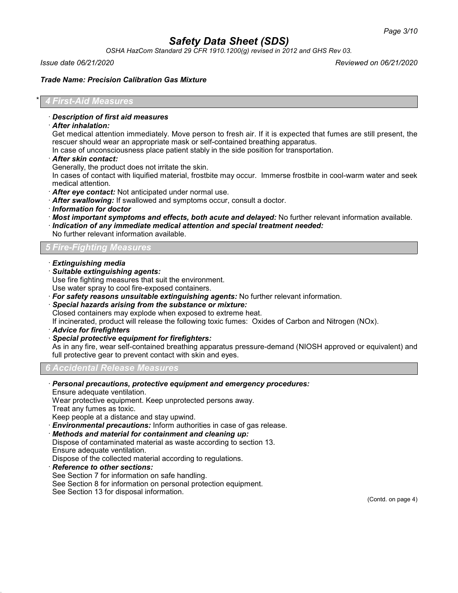*OSHA HazCom Standard 29 CFR 1910.1200(g) revised in 2012 and GHS Rev 03.*

*Issue date 06/21/2020 Reviewed on 06/21/2020*

## *Trade Name: Precision Calibration Gas Mixture*

## \* *4 First-Aid Measures*

#### · *Description of first aid measures*

· *After inhalation:*

Get medical attention immediately. Move person to fresh air. If it is expected that fumes are still present, the rescuer should wear an appropriate mask or self-contained breathing apparatus.

In case of unconsciousness place patient stably in the side position for transportation.

· *After skin contact:*

Generally, the product does not irritate the skin.

In cases of contact with liquified material, frostbite may occur. Immerse frostbite in cool-warm water and seek medical attention.

· *After eye contact:* Not anticipated under normal use.

· *After swallowing:* If swallowed and symptoms occur, consult a doctor.

- · *Information for doctor*
- · *Most important symptoms and effects, both acute and delayed:* No further relevant information available.
- · *Indication of any immediate medical attention and special treatment needed:*
- No further relevant information available.

# *5 Fire-Fighting Measures*

- · *Extinguishing media*
- · *Suitable extinguishing agents:*

Use fire fighting measures that suit the environment.

Use water spray to cool fire-exposed containers.

- · *For safety reasons unsuitable extinguishing agents:* No further relevant information.
- · *Special hazards arising from the substance or mixture:*

Closed containers may explode when exposed to extreme heat.

If incinerated, product will release the following toxic fumes: Oxides of Carbon and Nitrogen (NOx).

- · *Advice for firefighters*
- · *Special protective equipment for firefighters:*

As in any fire, wear self-contained breathing apparatus pressure-demand (NIOSH approved or equivalent) and full protective gear to prevent contact with skin and eyes.

# *6 Accidental Release Measures*

· *Personal precautions, protective equipment and emergency procedures:*

Ensure adequate ventilation.

Wear protective equipment. Keep unprotected persons away.

Treat any fumes as toxic.

Keep people at a distance and stay upwind.

- · *Environmental precautions:* Inform authorities in case of gas release.
- · *Methods and material for containment and cleaning up:*
- Dispose of contaminated material as waste according to section 13.

Ensure adequate ventilation.

- Dispose of the collected material according to regulations.
- · *Reference to other sections:*
- See Section 7 for information on safe handling.
- See Section 8 for information on personal protection equipment.

See Section 13 for disposal information.

(Contd. on page 4)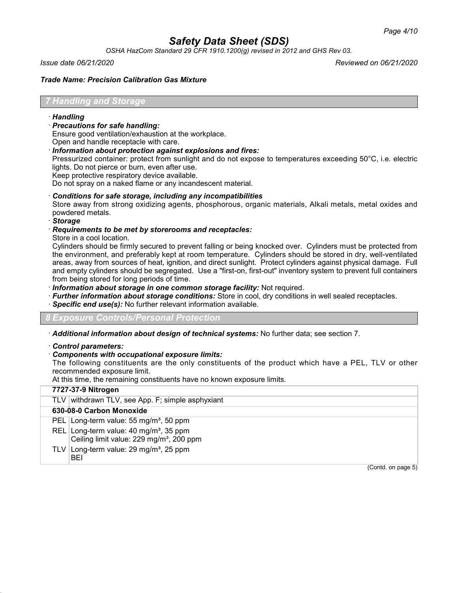*OSHA HazCom Standard 29 CFR 1910.1200(g) revised in 2012 and GHS Rev 03.*

*Issue date 06/21/2020 Reviewed on 06/21/2020*

# *Trade Name: Precision Calibration Gas Mixture*

# *7 Handling and Storage*

# · *Handling*

· *Precautions for safe handling:*

Ensure good ventilation/exhaustion at the workplace.

Open and handle receptacle with care.

· *Information about protection against explosions and fires:*

Pressurized container: protect from sunlight and do not expose to temperatures exceeding 50°C, i.e. electric lights. Do not pierce or burn, even after use.

Keep protective respiratory device available.

Do not spray on a naked flame or any incandescent material.

# · *Conditions for safe storage, including any incompatibilities*

Store away from strong oxidizing agents, phosphorous, organic materials, Alkali metals, metal oxides and powdered metals.

· *Storage*

#### · *Requirements to be met by storerooms and receptacles:*

Store in a cool location.

Cylinders should be firmly secured to prevent falling or being knocked over. Cylinders must be protected from the environment, and preferably kept at room temperature. Cylinders should be stored in dry, well-ventilated areas, away from sources of heat, ignition, and direct sunlight. Protect cylinders against physical damage. Full and empty cylinders should be segregated. Use a "first-on, first-out" inventory system to prevent full containers from being stored for long periods of time.

· *Information about storage in one common storage facility:* Not required.

- · *Further information about storage conditions:* Store in cool, dry conditions in well sealed receptacles.
- · *Specific end use(s):* No further relevant information available.

*8 Exposure Controls/Personal Protection*

· *Additional information about design of technical systems:* No further data; see section 7.

· *Control parameters:*

# · *Components with occupational exposure limits:*

The following constituents are the only constituents of the product which have a PEL, TLV or other recommended exposure limit.

At this time, the remaining constituents have no known exposure limits.

| 7727-37-9 Nitrogen                                                                                         |
|------------------------------------------------------------------------------------------------------------|
| TLV withdrawn TLV, see App. F; simple asphyxiant                                                           |
| 630-08-0 Carbon Monoxide                                                                                   |
| PEL Long-term value: 55 mg/m <sup>3</sup> , 50 ppm                                                         |
| REL Long-term value: 40 mg/m <sup>3</sup> , 35 ppm<br>Ceiling limit value: 229 mg/m <sup>3</sup> , 200 ppm |
| TLV Long-term value: $29 \text{ mg/m}^3$ , $25 \text{ ppm}$<br>BEI                                         |
| (Contd. on page 5)                                                                                         |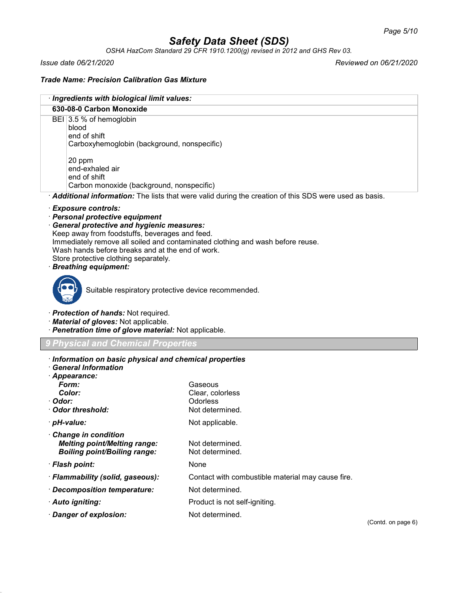*OSHA HazCom Standard 29 CFR 1910.1200(g) revised in 2012 and GHS Rev 03.*

*Issue date 06/21/2020 Reviewed on 06/21/2020*

# *Trade Name: Precision Calibration Gas Mixture*

| · Ingredients with biological limit values:                                      |                                                                                                       |  |  |  |  |
|----------------------------------------------------------------------------------|-------------------------------------------------------------------------------------------------------|--|--|--|--|
| 630-08-0 Carbon Monoxide                                                         |                                                                                                       |  |  |  |  |
| blood                                                                            | BEI 3.5 % of hemoglobin                                                                               |  |  |  |  |
| end of shift                                                                     |                                                                                                       |  |  |  |  |
| Carboxyhemoglobin (background, nonspecific)                                      |                                                                                                       |  |  |  |  |
| 20 ppm                                                                           |                                                                                                       |  |  |  |  |
| end-exhaled air                                                                  |                                                                                                       |  |  |  |  |
| end of shift<br>Carbon monoxide (background, nonspecific)                        |                                                                                                       |  |  |  |  |
|                                                                                  | Additional information: The lists that were valid during the creation of this SDS were used as basis. |  |  |  |  |
| · Exposure controls:                                                             |                                                                                                       |  |  |  |  |
| · Personal protective equipment                                                  |                                                                                                       |  |  |  |  |
| · General protective and hygienic measures:                                      |                                                                                                       |  |  |  |  |
| Keep away from foodstuffs, beverages and feed.                                   | Immediately remove all soiled and contaminated clothing and wash before reuse.                        |  |  |  |  |
| Wash hands before breaks and at the end of work.                                 |                                                                                                       |  |  |  |  |
| Store protective clothing separately.                                            |                                                                                                       |  |  |  |  |
| <b>Breathing equipment:</b>                                                      |                                                                                                       |  |  |  |  |
|                                                                                  |                                                                                                       |  |  |  |  |
| Suitable respiratory protective device recommended.                              |                                                                                                       |  |  |  |  |
|                                                                                  |                                                                                                       |  |  |  |  |
| · Material of gloves: Not applicable.                                            | · Protection of hands: Not required.                                                                  |  |  |  |  |
| · Penetration time of glove material: Not applicable.                            |                                                                                                       |  |  |  |  |
| <b>Physical and Chemical Properties</b>                                          |                                                                                                       |  |  |  |  |
|                                                                                  |                                                                                                       |  |  |  |  |
| · Information on basic physical and chemical properties<br>· General Information |                                                                                                       |  |  |  |  |
| · Appearance:                                                                    |                                                                                                       |  |  |  |  |
| Form:                                                                            | Gaseous                                                                                               |  |  |  |  |
| Color:<br>∙ Odor:                                                                | Clear, colorless<br>Odorless                                                                          |  |  |  |  |
| Odor threshold:                                                                  | Not determined.                                                                                       |  |  |  |  |
| · pH-value:                                                                      | Not applicable.                                                                                       |  |  |  |  |
| <b>Change in condition</b>                                                       |                                                                                                       |  |  |  |  |
| <b>Melting point/Melting range:</b>                                              | Not determined.                                                                                       |  |  |  |  |
| <b>Boiling point/Boiling range:</b>                                              | Not determined.                                                                                       |  |  |  |  |
| · Flash point:                                                                   | None                                                                                                  |  |  |  |  |
| · Flammability (solid, gaseous):                                                 | Contact with combustible material may cause fire.                                                     |  |  |  |  |
| · Decomposition temperature:                                                     | Not determined.                                                                                       |  |  |  |  |
| · Auto igniting:                                                                 | Product is not self-igniting.                                                                         |  |  |  |  |
| · Danger of explosion:                                                           | Not determined.                                                                                       |  |  |  |  |
|                                                                                  | (Contd. on page 6)                                                                                    |  |  |  |  |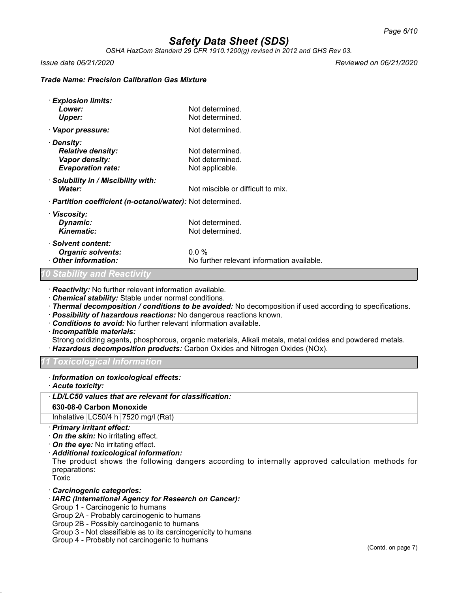*OSHA HazCom Standard 29 CFR 1910.1200(g) revised in 2012 and GHS Rev 03.*

*Issue date 06/21/2020 Reviewed on 06/21/2020*

# *Trade Name: Precision Calibration Gas Mixture*

| · Explosion limits:<br>Lower:<br>Upper:                                              | Not determined.<br>Not determined.                    |
|--------------------------------------------------------------------------------------|-------------------------------------------------------|
| · Vapor pressure:                                                                    | Not determined.                                       |
| · Density:<br><b>Relative density:</b><br>Vapor density:<br><b>Evaporation rate:</b> | Not determined.<br>Not determined.<br>Not applicable. |
| Solubility in / Miscibility with:<br>Water:                                          | Not miscible or difficult to mix.                     |
| · Partition coefficient (n-octanol/water): Not determined.                           |                                                       |
| · Viscosity:<br>Dynamic:<br>Kinematic:                                               | Not determined.<br>Not determined.                    |
| · Solvent content:<br><b>Organic solvents:</b><br>Other information:                 | $0.0\%$<br>No further relevant information available. |
| 0 Stabilitv and Reactivitv                                                           |                                                       |

· *Reactivity:* No further relevant information available.

· *Chemical stability:* Stable under normal conditions.

- · *Thermal decomposition / conditions to be avoided:* No decomposition if used according to specifications.
- · *Possibility of hazardous reactions:* No dangerous reactions known.
- · *Conditions to avoid:* No further relevant information available.
- · *Incompatible materials:*

Strong oxidizing agents, phosphorous, organic materials, Alkali metals, metal oxides and powdered metals. · *Hazardous decomposition products:* Carbon Oxides and Nitrogen Oxides (NOx).

# *11 Toxicological Information*

- · *Information on toxicological effects:*
- · *Acute toxicity:*

### · *LD/LC50 values that are relevant for classification:*

# **630-08-0 Carbon Monoxide**

Inhalative  $|LG50/4 h|7520$  mg/l (Rat)

- · *Primary irritant effect:*
- · *On the skin:* No irritating effect.
- · *On the eye:* No irritating effect.
- · *Additional toxicological information:*

The product shows the following dangers according to internally approved calculation methods for preparations:

Toxic

# · *Carcinogenic categories:*

- · *IARC (International Agency for Research on Cancer):*
- Group 1 Carcinogenic to humans
- Group 2A Probably carcinogenic to humans
- Group 2B Possibly carcinogenic to humans
- Group 3 Not classifiable as to its carcinogenicity to humans
- Group 4 Probably not carcinogenic to humans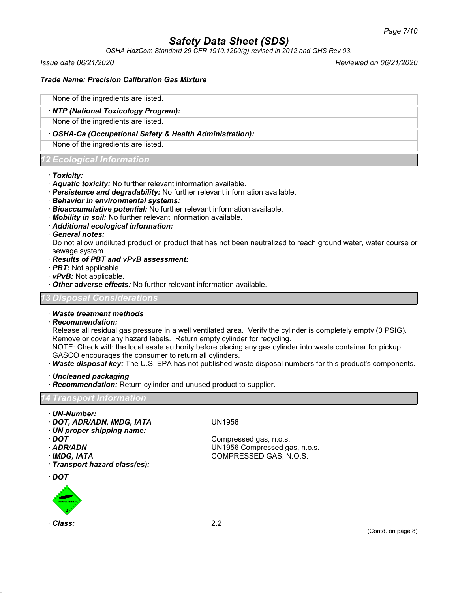*OSHA HazCom Standard 29 CFR 1910.1200(g) revised in 2012 and GHS Rev 03.*

*Issue date 06/21/2020 Reviewed on 06/21/2020*

# *Trade Name: Precision Calibration Gas Mixture*

# None of the ingredients are listed.

# · *NTP (National Toxicology Program):*

None of the ingredients are listed.

# · *OSHA-Ca (Occupational Safety & Health Administration):*

None of the ingredients are listed.

# *12 Ecological Information*

#### · *Toxicity:*

- · *Aquatic toxicity:* No further relevant information available.
- · *Persistence and degradability:* No further relevant information available.
- · *Behavior in environmental systems:*
- · *Bioaccumulative potential:* No further relevant information available.
- · *Mobility in soil:* No further relevant information available.
- · *Additional ecological information:*

#### · *General notes:*

Do not allow undiluted product or product that has not been neutralized to reach ground water, water course or sewage system.

#### · *Results of PBT and vPvB assessment:*

- · *PBT:* Not applicable.
- · *vPvB:* Not applicable.
- · *Other adverse effects:* No further relevant information available.

# *13 Disposal Considerations*

# · *Waste treatment methods*

# · *Recommendation:*

Release all residual gas pressure in a well ventilated area. Verify the cylinder is completely empty (0 PSIG). Remove or cover any hazard labels. Return empty cylinder for recycling.

NOTE: Check with the local easte authority before placing any gas cylinder into waste container for pickup. GASCO encourages the consumer to return all cylinders.

- · *Waste disposal key:* The U.S. EPA has not published waste disposal numbers for this product's components.
- · *Uncleaned packaging*
- · *Recommendation:* Return cylinder and unused product to supplier.

#### *14 Transport Information*

- · *UN-Number:*
- · *DOT, ADR/ADN, IMDG, IATA* UN1956
- · *UN proper shipping name:*
- 
- 
- 
- · *Transport hazard class(es):*





· **DOT** Compressed gas, n.o.s. · *ADR/ADN* UN1956 Compressed gas, n.o.s. · *IMDG, IATA* COMPRESSED GAS, N.O.S.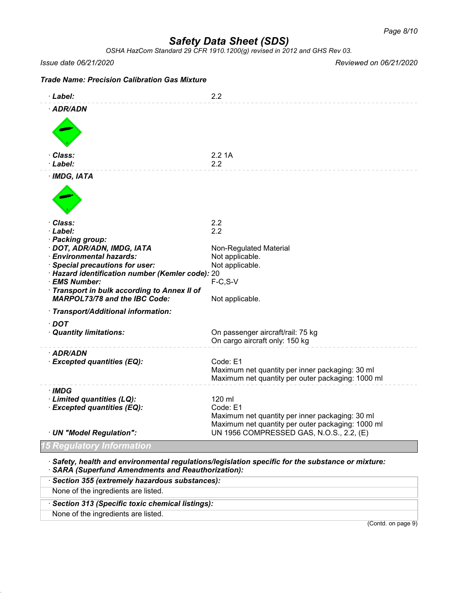*OSHA HazCom Standard 29 CFR 1910.1200(g) revised in 2012 and GHS Rev 03.*

*Issue date 06/21/2020 Reviewed on 06/21/2020*

| <b>Trade Name: Precision Calibration Gas Mixture</b>          |                                                                                                                  |
|---------------------------------------------------------------|------------------------------------------------------------------------------------------------------------------|
| ·Label:                                                       | 2.2                                                                                                              |
| · ADR/ADN                                                     |                                                                                                                  |
|                                                               |                                                                                                                  |
| · Class:<br>· Label:                                          | 2.21A<br>2.2                                                                                                     |
| $·$ IMDG, IATA                                                |                                                                                                                  |
|                                                               |                                                                                                                  |
| · Class:<br>· Label:                                          | 2.2<br>2.2                                                                                                       |
| · Packing group:                                              |                                                                                                                  |
| · DOT, ADR/ADN, IMDG, IATA<br>· Environmental hazards:        | Non-Regulated Material                                                                                           |
| · Special precautions for user:                               | Not applicable.<br>Not applicable.                                                                               |
| · Hazard identification number (Kemler code): 20              |                                                                                                                  |
| · EMS Number:<br>· Transport in bulk according to Annex II of | $F-C, S-V$                                                                                                       |
| <b>MARPOL73/78 and the IBC Code:</b>                          | Not applicable.                                                                                                  |
| · Transport/Additional information:                           |                                                                                                                  |
| $\cdot$ DOT                                                   |                                                                                                                  |
| · Quantity limitations:                                       | On passenger aircraft/rail: 75 kg<br>On cargo aircraft only: 150 kg                                              |
| · ADR/ADN                                                     |                                                                                                                  |
| · Excepted quantities (EQ):                                   | Code: E1<br>Maximum net quantity per inner packaging: 30 ml<br>Maximum net quantity per outer packaging: 1000 ml |
| · IMDG                                                        |                                                                                                                  |
| · Limited quantities (LQ):<br>· Excepted quantities (EQ):     | 120 ml<br>Code: E1                                                                                               |
|                                                               | Maximum net quantity per inner packaging: 30 ml                                                                  |
| · UN "Model Regulation":                                      | Maximum net quantity per outer packaging: 1000 ml<br>UN 1956 COMPRESSED GAS, N.O.S., 2.2, (E)                    |
| qulatory Information                                          |                                                                                                                  |
|                                                               |                                                                                                                  |

· *Safety, health and environmental regulations/legislation specific for the substance or mixture:* · *SARA (Superfund Amendments and Reauthorization):*

| (Contd. on page 9)                              |
|-------------------------------------------------|
| None of the ingredients are listed.             |
| Section 313 (Specific toxic chemical listings): |
| None of the ingredients are listed.             |
| · Section 355 (extremely hazardous substances): |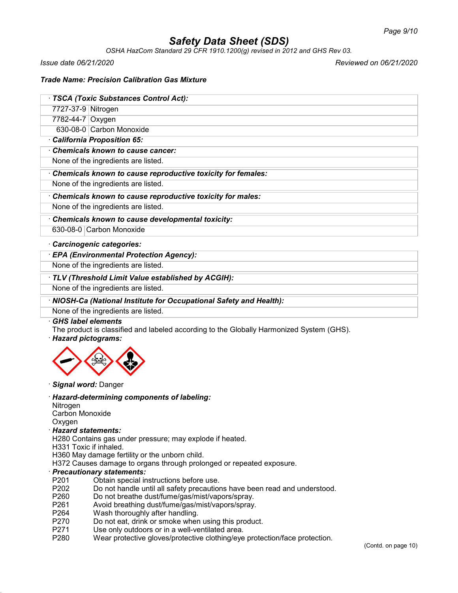*OSHA HazCom Standard 29 CFR 1910.1200(g) revised in 2012 and GHS Rev 03.*

*Issue date 06/21/2020 Reviewed on 06/21/2020*

# *Trade Name: Precision Calibration Gas Mixture*

|  |  | · TSCA (Toxic Substances Control Act): |
|--|--|----------------------------------------|
|  |  |                                        |

7727-37-9 Nitrogen

7782-44-7 Oxygen

630-08-0 Carbon Monoxide

# · *California Proposition 65:*

· *Chemicals known to cause cancer:*

None of the ingredients are listed.

· *Chemicals known to cause reproductive toxicity for females:*

None of the ingredients are listed.

· *Chemicals known to cause reproductive toxicity for males:*

None of the ingredients are listed.

· *Chemicals known to cause developmental toxicity:*

630-08-0 Carbon Monoxide

# · *Carcinogenic categories:*

· *EPA (Environmental Protection Agency):*

None of the ingredients are listed.

· *TLV (Threshold Limit Value established by ACGIH):*

None of the ingredients are listed.

# · *NIOSH-Ca (National Institute for Occupational Safety and Health):*

None of the ingredients are listed.

# · *GHS label elements*

The product is classified and labeled according to the Globally Harmonized System (GHS).

# · *Hazard pictograms:*



#### · *Signal word:* Danger

# · *Hazard-determining components of labeling:*

Nitrogen Carbon Monoxide **Oxygen** 

#### · *Hazard statements:*

H280 Contains gas under pressure; may explode if heated.

- H331 Toxic if inhaled.
- H360 May damage fertility or the unborn child.

H372 Causes damage to organs through prolonged or repeated exposure.

#### · *Precautionary statements:*

- P201 Obtain special instructions before use.
- P202 Do not handle until all safety precautions have been read and understood.
- P260 Do not breathe dust/fume/gas/mist/vapors/spray.
- P261 Avoid breathing dust/fume/gas/mist/vapors/spray.
- P264 Wash thoroughly after handling.
- P270 Do not eat, drink or smoke when using this product.
- P271 Use only outdoors or in a well-ventilated area.
- P280 Wear protective gloves/protective clothing/eye protection/face protection.